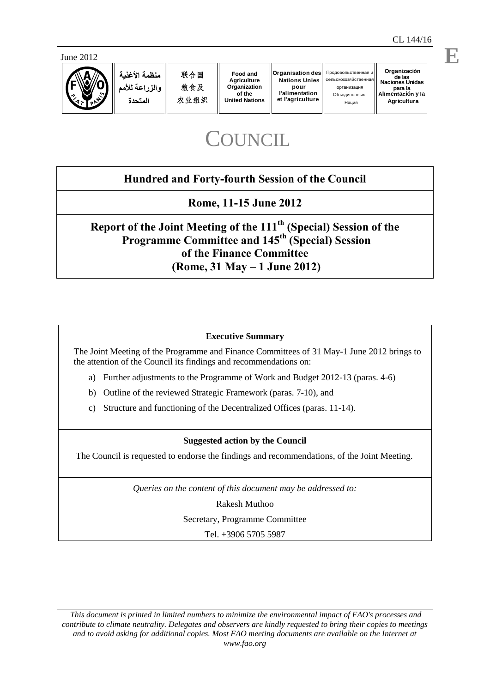

# **COUNCIL**

## **Hundred and Forty-fourth Session of the Council**

**Rome, 11-15 June 2012**

**Report of the Joint Meeting of the 111th (Special) Session of the Programme Committee and 145th (Special) Session of the Finance Committee (Rome, 31 May – 1 June 2012)** 

### **Executive Summary**

The Joint Meeting of the Programme and Finance Committees of 31 May-1 June 2012 brings to the attention of the Council its findings and recommendations on:

- a) Further adjustments to the Programme of Work and Budget 2012-13 (paras. 4-6)
- b) Outline of the reviewed Strategic Framework (paras. 7-10), and
- c) Structure and functioning of the Decentralized Offices (paras. 11-14).

### **Suggested action by the Council**

The Council is requested to endorse the findings and recommendations, of the Joint Meeting.

*Queries on the content of this document may be addressed to:*

Rakesh Muthoo Secretary, Programme Committee

Tel. +3906 5705 5987

*This document is printed in limited numbers to minimize the environmental impact of FAO's processes and contribute to climate neutrality. Delegates and observers are kindly requested to bring their copies to meetings and to avoid asking for additional copies. Most FAO meeting documents are available on the Internet at www.fao.org*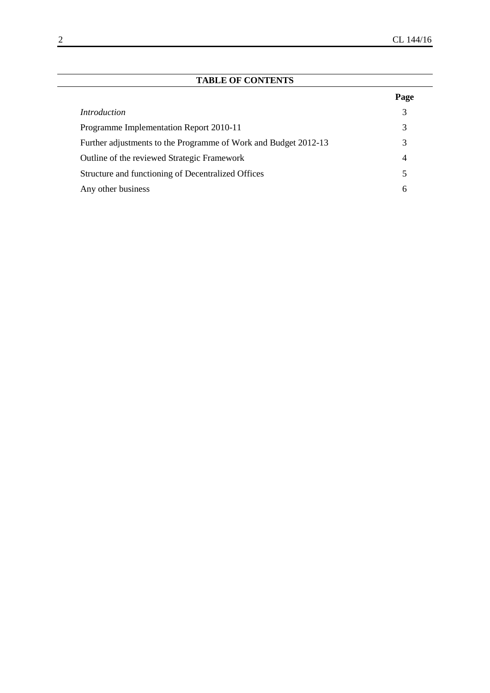| <b>TABLE OF CONTENTS</b>                                        |                |
|-----------------------------------------------------------------|----------------|
|                                                                 | Page           |
| <i>Introduction</i>                                             | 3              |
| Programme Implementation Report 2010-11                         | 3              |
| Further adjustments to the Programme of Work and Budget 2012-13 | 3              |
| Outline of the reviewed Strategic Framework                     | $\overline{4}$ |
| Structure and functioning of Decentralized Offices              | 5              |
| Any other business                                              | 6              |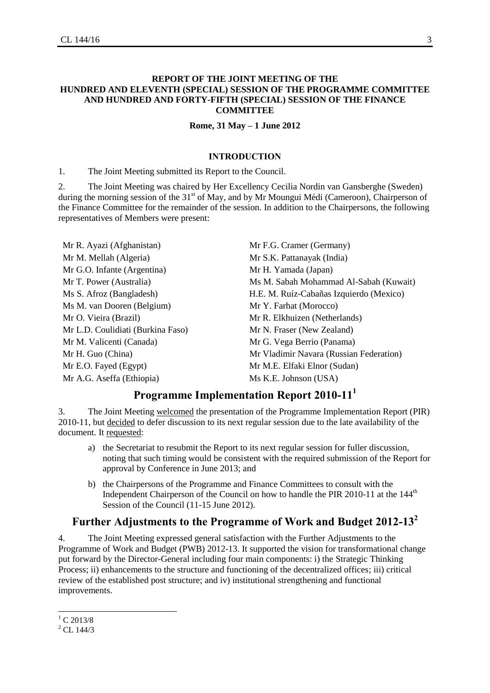#### **REPORT OF THE JOINT MEETING OF THE HUNDRED AND ELEVENTH (SPECIAL) SESSION OF THE PROGRAMME COMMITTEE AND HUNDRED AND FORTY-FIFTH (SPECIAL) SESSION OF THE FINANCE COMMITTEE**

#### **Rome, 31 May – 1 June 2012**

#### **INTRODUCTION**

1. The Joint Meeting submitted its Report to the Council.

2. The Joint Meeting was chaired by Her Excellency Cecilia Nordin van Gansberghe (Sweden) during the morning session of the 31<sup>st</sup> of May, and by Mr Moungui Médi (Cameroon), Chairperson of the Finance Committee for the remainder of the session. In addition to the Chairpersons, the following representatives of Members were present:

Mr R. Ayazi (Afghanistan) Mr F.G. Cramer (Germany) Mr M. Mellah (Algeria) Mr S.K. Pattanayak (India) Mr G.O. Infante (Argentina) Mr H. Yamada (Japan) Ms M. van Dooren (Belgium) Mr Y. Farhat (Morocco) Mr O. Vieira (Brazil) Mr R. Elkhuizen (Netherlands) Mr L.D. Coulidiati (Burkina Faso) Mr N. Fraser (New Zealand) Mr M. Valicenti (Canada) Mr G. Vega Berrio (Panama) Mr E.O. Fayed (Egypt) Mr M.E. Elfaki Elnor (Sudan) Mr A.G. Aseffa (Ethiopia) Ms K.E. Johnson (USA)

Mr T. Power (Australia) Ms M. Sabah Mohammad Al-Sabah (Kuwait) Ms S. Afroz (Bangladesh) H.E. M. Ruíz-Cabañas Izquierdo (Mexico) Mr H. Guo (China) Mr Vladimir Navara (Russian Federation)

### **Programme Implementation Report 2010-11 1**

3. The Joint Meeting welcomed the presentation of the Programme Implementation Report (PIR) 2010-11, but decided to defer discussion to its next regular session due to the late availability of the document. It requested:

- a) the Secretariat to resubmit the Report to its next regular session for fuller discussion, noting that such timing would be consistent with the required submission of the Report for approval by Conference in June 2013; and
- b) the Chairpersons of the Programme and Finance Committees to consult with the Independent Chairperson of the Council on how to handle the PIR 2010-11 at the 144<sup>th</sup> Session of the Council (11-15 June 2012).

### **Further Adjustments to the Programme of Work and Budget 2012-13<sup>2</sup>**

4. The Joint Meeting expressed general satisfaction with the Further Adjustments to the Programme of Work and Budget (PWB) 2012-13. It supported the vision for transformational change put forward by the Director-General including four main components: i) the Strategic Thinking Process; ii) enhancements to the structure and functioning of the decentralized offices; iii) critical review of the established post structure; and iv) institutional strengthening and functional improvements.

l

 $^{1}$  C 2013/8

 $^{2}$  CL 144/3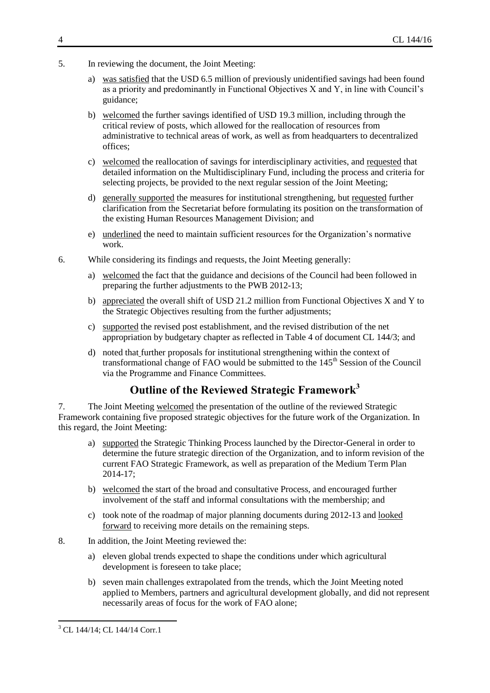- 5. In reviewing the document, the Joint Meeting:
	- a) was satisfied that the USD 6.5 million of previously unidentified savings had been found as a priority and predominantly in Functional Objectives X and Y, in line with Council's guidance;
	- b) welcomed the further savings identified of USD 19.3 million, including through the critical review of posts, which allowed for the reallocation of resources from administrative to technical areas of work, as well as from headquarters to decentralized offices;
	- c) welcomed the reallocation of savings for interdisciplinary activities, and requested that detailed information on the Multidisciplinary Fund, including the process and criteria for selecting projects, be provided to the next regular session of the Joint Meeting;
	- d) generally supported the measures for institutional strengthening, but requested further clarification from the Secretariat before formulating its position on the transformation of the existing Human Resources Management Division; and
	- e) underlined the need to maintain sufficient resources for the Organization's normative work.
- 6. While considering its findings and requests, the Joint Meeting generally:
	- a) welcomed the fact that the guidance and decisions of the Council had been followed in preparing the further adjustments to the PWB 2012-13;
	- b) appreciated the overall shift of USD 21.2 million from Functional Objectives X and Y to the Strategic Objectives resulting from the further adjustments;
	- c) supported the revised post establishment, and the revised distribution of the net appropriation by budgetary chapter as reflected in Table 4 of document CL 144/3; and
	- d) noted that further proposals for institutional strengthening within the context of transformational change of FAO would be submitted to the 145<sup>th</sup> Session of the Council via the Programme and Finance Committees.

### **Outline of the Reviewed Strategic Framework<sup>3</sup>**

7. The Joint Meeting welcomed the presentation of the outline of the reviewed Strategic Framework containing five proposed strategic objectives for the future work of the Organization. In this regard, the Joint Meeting:

- a) supported the Strategic Thinking Process launched by the Director-General in order to determine the future strategic direction of the Organization, and to inform revision of the current FAO Strategic Framework, as well as preparation of the Medium Term Plan 2014-17;
- b) welcomed the start of the broad and consultative Process, and encouraged further involvement of the staff and informal consultations with the membership; and
- c) took note of the roadmap of major planning documents during 2012-13 and looked forward to receiving more details on the remaining steps.
- 8. In addition, the Joint Meeting reviewed the:
	- a) eleven global trends expected to shape the conditions under which agricultural development is foreseen to take place;
	- b) seven main challenges extrapolated from the trends, which the Joint Meeting noted applied to Members, partners and agricultural development globally, and did not represent necessarily areas of focus for the work of FAO alone;

 $\overline{a}$ 

<sup>&</sup>lt;sup>3</sup> CL 144/14; CL 144/14 Corr.1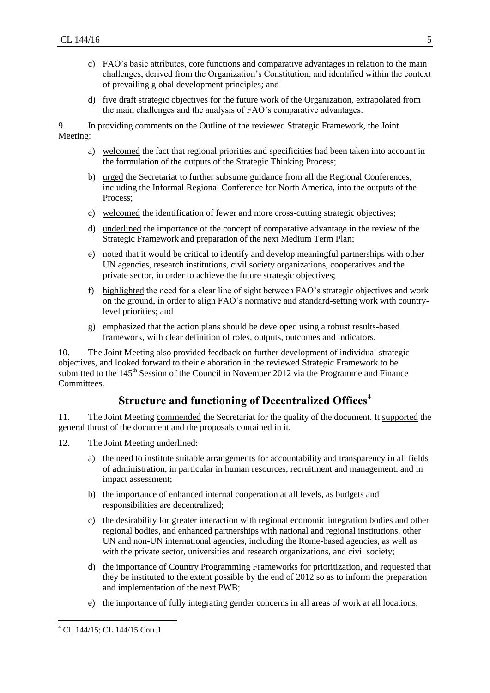- c) FAO's basic attributes, core functions and comparative advantages in relation to the main challenges, derived from the Organization's Constitution, and identified within the context of prevailing global development principles; and
- d) five draft strategic objectives for the future work of the Organization, extrapolated from the main challenges and the analysis of FAO's comparative advantages.

9. In providing comments on the Outline of the reviewed Strategic Framework, the Joint Meeting:

- a) welcomed the fact that regional priorities and specificities had been taken into account in the formulation of the outputs of the Strategic Thinking Process;
- b) urged the Secretariat to further subsume guidance from all the Regional Conferences, including the Informal Regional Conference for North America, into the outputs of the Process;
- c) welcomed the identification of fewer and more cross-cutting strategic objectives;
- d) underlined the importance of the concept of comparative advantage in the review of the Strategic Framework and preparation of the next Medium Term Plan;
- e) noted that it would be critical to identify and develop meaningful partnerships with other UN agencies, research institutions, civil society organizations, cooperatives and the private sector, in order to achieve the future strategic objectives;
- f) highlighted the need for a clear line of sight between FAO's strategic objectives and work on the ground, in order to align FAO's normative and standard-setting work with countrylevel priorities; and
- g) emphasized that the action plans should be developed using a robust results-based framework, with clear definition of roles, outputs, outcomes and indicators.

10. The Joint Meeting also provided feedback on further development of individual strategic objectives, and looked forward to their elaboration in the reviewed Strategic Framework to be submitted to the 145<sup>th</sup> Session of the Council in November 2012 via the Programme and Finance Committees.

### **Structure and functioning of Decentralized Offices<sup>4</sup>**

11. The Joint Meeting commended the Secretariat for the quality of the document. It supported the general thrust of the document and the proposals contained in it.

- 12. The Joint Meeting underlined:
	- a) the need to institute suitable arrangements for accountability and transparency in all fields of administration, in particular in human resources, recruitment and management, and in impact assessment;
	- b) the importance of enhanced internal cooperation at all levels, as budgets and responsibilities are decentralized;
	- c) the desirability for greater interaction with regional economic integration bodies and other regional bodies, and enhanced partnerships with national and regional institutions, other UN and non-UN international agencies, including the Rome-based agencies, as well as with the private sector, universities and research organizations, and civil society;
	- d) the importance of Country Programming Frameworks for prioritization, and requested that they be instituted to the extent possible by the end of 2012 so as to inform the preparation and implementation of the next PWB;
	- e) the importance of fully integrating gender concerns in all areas of work at all locations;

 $\overline{a}$ <sup>4</sup> CL 144/15; CL 144/15 Corr.1